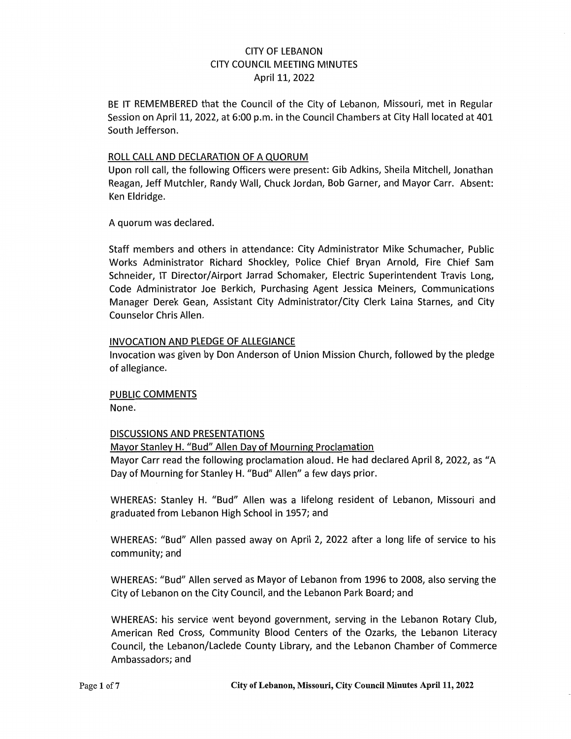# CITY OF LEBANON CITY COUNCIL MEETING MINUTES April 11, 2022

BE IT REMEMBERED that the Council of the City of Lebanon, Missouri, met in Regular Session on April 11, 2022, at 6:00 p.m. in the Council Chambers at City Hall located at 401 South Jefferson.

### ROLL CALL AND DECLARATION OF A QUORUM

Upon roll call, the following Officers were present: Gib Adkins, Sheila Mitchell, Jonathan Reagan, Jeff Mutchler, Randy Wall, Chuck Jordan, Bob Garner, and Mayor Carr. Absent: Ken Eldridge.

A quorum was declared.

Staff members and others in attendance: City Administrator Mike Schumacher, Public Works Administrator Richard Shockley, Police Chief Bryan Arnold, Fire Chief Sam Schneider, IT Director/Airport Jarrad Schomaker, Electric Superintendent Travis Long, Code Administrator Joe Berkich, Purchasing Agent Jessica Meiners, Communications Manager Derek Gean, Assistant City Administrator/City Clerk Laina Starnes, and City Counselor Chris Allen.

### INVOCATION AND PLEDGE OF ALLEGIANCE

Invocation was given by Don Anderson of Union Mission Church, followed by the pledge of allegiance.

**PUBLIC COMMENTS**  None.

## **DISCUSSIONS AND PRESENTATIONS**

Mayor Stanley H. "Bud" Allen Day of Mourning Proclamation

Mayor Carr read the following proclamation aloud. He had declared April 8, 2022, as "A Day of Mourning for Stanley H. "Bud" Allen" a few days prior.

WHEREAS: Stanley H. "Bud" Allen was a lifelong resident of Lebanon, Missouri and graduated from Lebanon High School in 1957; and

WHEREAS: "Bud" Allen passed away on April 2, 2022 after a long life of service to his community; and

WHEREAS: "Bud" Allen served as Mayor of Lebanon from 1996 to 2008, also serving the City of Lebanon on the City Council, and the Lebanon Park Board; and

WHEREAS: his service went beyond government, serving in the Lebanon Rotary Club, American Red Cross, Community Blood Centers of the Ozarks, the Lebanon Literacy Council, the Lebanon/Laclede County Library, and the Lebanon Chamber of Commerce Ambassadors; and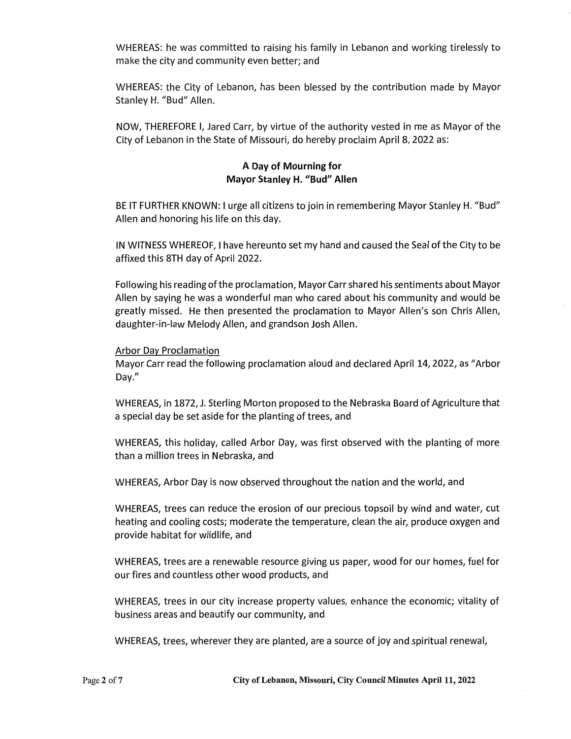WHEREAS: he was committed to raising his family in Lebanon and working tirelessly to make the city and community even better; and

WHEREAS: the City of Lebanon, has been blessed by the contribution made by Mayor Stanley H. "Bud" Allen.

NOW, THEREFORE I, Jared Carr, by virtue of the authority vested in me as Mayor of the City of Lebanon in the State of Missouri, do hereby proclaim April 8, 2022 as:

# **A Day of Mourning for Mayor Stanley H. "Bud" Allen**

BE IT FURTHER KNOWN: I urge all citizens to join in remembering Mayor Stanley H. "Bud" Allen and honoring his life on this day.

IN WITNESS WHEREOF, I have hereunto set my hand and caused the Seal of the City to be affixed this 8TH day of April 2022.

Following his reading of the proclamation, Mayor Carr shared his sentiments about Mayor Allen by saying he was a wonderful man who cared about his community and would be greatly missed. He then presented the proclamation to Mayor Allen's son Chris Allen, daughter-in-law Melody Allen, and grandson Josh Allen.

#### Arbor Day Proclamation

Mayor Carr read the following proclamation aloud and declared April 14, 2022, as "Arbor Day."

WHEREAS, in 1872, J. Sterling Morton proposed to the Nebraska Board of Agriculture that a special day be set aside for the planting of trees, and

WHEREAS, this holiday, called Arbor Day, was first observed with the planting of more than a million trees in Nebraska, and

WHEREAS, Arbor Day is now observed throughout the nation and the world, and

WHEREAS, trees can reduce the erosion of our precious topsoil by wind and water, cut heating and cooling costs; moderate the temperature, clean the air, produce oxygen and provide habitat for wildlife, and

WHEREAS, trees are a renewable resource giving us paper, wood for our homes, fuel for our fires and countless other wood products, and

WHEREAS, trees in our city increase property values, enhance the economic; vitality of business areas and beautify our community, and

WHEREAS, trees, wherever they are planted, are a source of joy and spiritual renewal,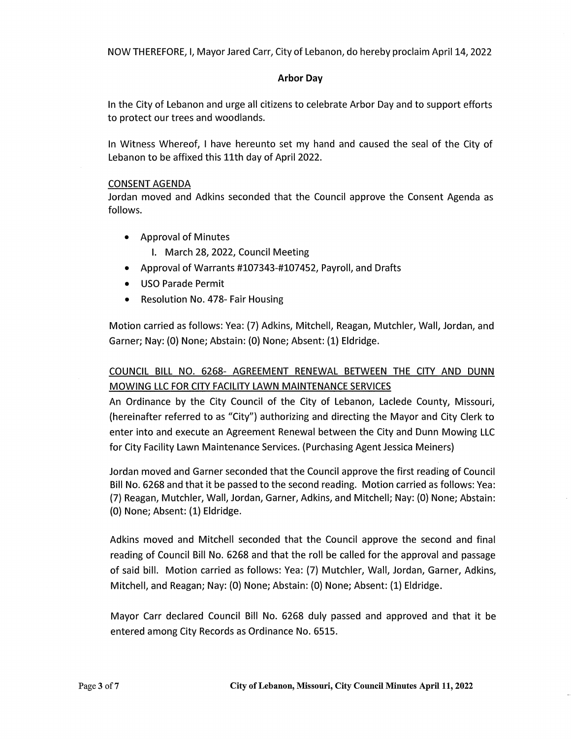NOW THEREFORE, I, Mayor Jared Carr, City of Lebanon, do hereby proclaim April 14, 2022

## **Arbor Day**

In the City of Lebanon and urge all citizens to celebrate Arbor Day and to support efforts to protect our trees and woodlands.

In Witness Whereof, I have hereunto set my hand and caused the seal of the City of Lebanon to be affixed this 11th day of April 2022.

### CONSENT AGENDA

Jordan moved and Adkins seconded that the Council approve the Consent Agenda as follows.

- Approval of Minutes
	- I. March 28, 2022, Council Meeting
- Approval of Warrants #107343-#107452, Payroll, and Drafts
- USO Parade Permit
- Resolution No. 478- Fair Housing

Motion carried as follows: Yea: (7) Adkins, Mitchell, Reagan, Mutchler, Wall, Jordan, and Garner; Nay: (0) None; Abstain: (0) None; Absent: (1) Eldridge.

# COUNCIL BILL NO. 6268- AGREEMENT RENEWAL BETWEEN THE CITY AND DUNN MOWING LLC FOR CITY FACILITY LAWN MAINTENANCE SERVICES

An Ordinance by the City Council of the City of Lebanon, Laclede County, Missouri, (hereinafter referred to as "City") authorizing and directing the Mayor and City Clerk to enter into and execute an Agreement Renewal between the City and Dunn Mowing LLC for City Facility Lawn Maintenance Services. (Purchasing Agent Jessica Meiners)

Jordan moved and Garner seconded that the Council approve the first reading of Council Bill No. 6268 and that it be passed to the second reading. Motion carried as follows: Yea: (7) Reagan, Mutchler, Wall, Jordan, Garner, Adkins, and Mitchell; Nay: (0) None; Abstain: (0) None; Absent: (1) Eldridge.

Adkins moved and Mitchell seconded that the Council approve the second and final reading of Council Bill No. 6268 and that the roll be called for the approval and passage of said bill. Motion carried as follows: Yea: (7) Mutchler, Wall, Jordan, Garner, Adkins, Mitchell, and Reagan; Nay: (0) None; Abstain: (0) None; Absent: (1) Eldridge.

Mayor Carr declared Council Bill No. 6268 duly passed and approved and that it be entered among City Records as Ordinance No. 6515.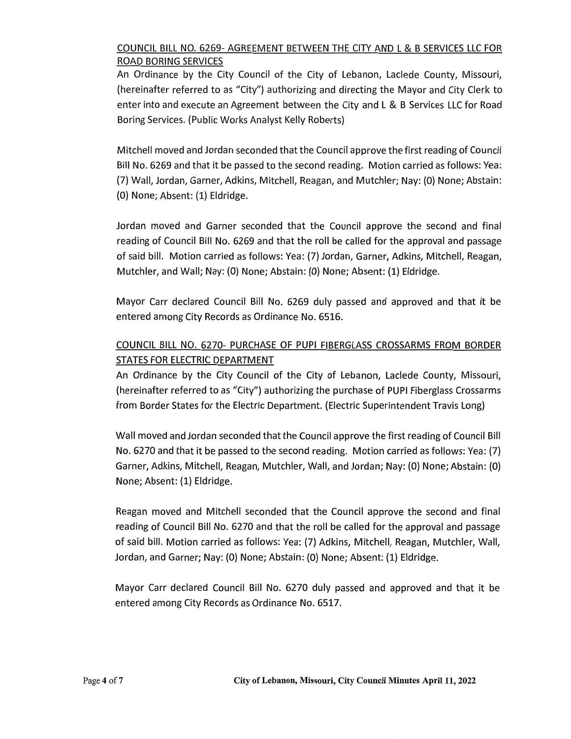# COUNCIL BILL NO. 6269- AGREEMENT BETWEEN THE CITY AND L & B SERVICES LLC FOR ROAD BORING SERVICES

An Ordinance by the City Council of the City of Lebanon, Laclede County, Missouri, (hereinafter referred to as "City") authorizing and directing the Mayor and City Clerk to enter into and execute an Agreement between the City and L & B Services LLC for Road Boring Services. (Public Works Analyst Kelly Roberts)

Mitchell moved and Jordan seconded that the Council approve the first reading of Council Bill No. 6269 and that it be passed to the second reading. Motion carried as follows: Yea: (7) Wall, Jordan, Garner, Adkins, Mitchell, Reagan, and Mutchler; Nay: (0) None; Abstain: (0) None; Absent: (1) Eldridge.

Jordan moved and Garner seconded that the Council approve the second and final reading of Council Bill No. 6269 and that the roll be called for the approval and passage of said bill. Motion carried as follows: Yea: (7) Jordan, Garner, Adkins, Mitchell, Reagan, Mutchler, and Wall; Nay: (0) None; Abstain: (0) None; Absent: (1) Eldridge.

Mayor Carr declared Council Bill No. 6269 duly passed and approved and that it be entered among City Records as Ordinance No. 6516.

# COUNCIL BILL NO. 6270- PURCHASE OF PUPI FIBERGLASS CROSSARMS FROM BORDER STATES FOR ELECTRIC DEPARTMENT

An Ordinance by the City Council of the City of Lebanon, Laclede County, Missouri, (hereinafter referred to as "City") authorizing the purchase of PUPI Fiberglass Crossarms from Border States for the Electric Department. (Electric Superintendent Travis Long)

Wall moved and Jordan seconded that the Council approve the first reading of Council Bill No. 6270 and that it be passed to the second reading. Motion carried as follows: Yea: (7) Garner, Adkins, Mitchell, Reagan, Mutchler, Wall, and Jordan; Nay: (0) None; Abstain: (0) None; Absent: (1) Eldridge.

Reagan moved and Mitchell seconded that the Council approve the second and final reading of Council Bill No. 6270 and that the roll be called for the approval and passage of said bill. Motion carried as follows: Yea: (7) Adkins, Mitchell, Reagan, Mutchler, Wall, Jordan, and Garner; Nay: (0) None; Abstain: (0) None; Absent: (1) Eldridge.

Mayor Carr declared Council Bill No. 6270 duly passed and approved and that it be entered among City Records as Ordinance No. 6517.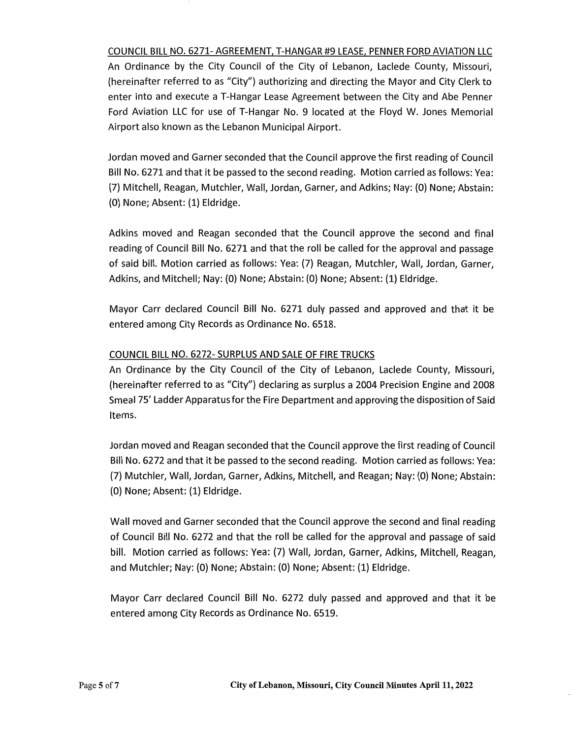## COUNCIL BILL NO. 6271-AGREEMENT, T-HANGAR #9 LEASE, PENNER FORD AVIATION LLC

An Ordinance by the City Council of the City of Lebanon, Laclede County, Missouri, {hereinafter referred to as "City"} authorizing and directing the Mayor and City Clerk to enter into and execute a T-Hangar Lease Agreement between the City and Abe Penner Ford Aviation LLC for use of T-Hangar No. 9 located at the Floyd W. Jones Memorial Airport also known as the Lebanon Municipal Airport.

Jordan moved and Garner seconded that the Council approve the first reading of Council Bill No. 6271 and that it be passed to the second reading. Motion carried as follows: Yea: {7} Mitchell, Reagan, Mutchler, Wall, Jordan, Garner, and Adkins; Nay: {0} None; Abstain: {0} None; Absent: {1} Eldridge.

Adkins moved and Reagan seconded that the Council approve the second and final reading of Council Bill No. 6271 and that the roll be called for the approval and passage of said bill. Motion carried as follows: Yea: {7} Reagan, Mutchler, Wall, Jordan, Garner, Adkins, and Mitchell; Nay: {0} None; Abstain: {0} None; Absent: {1} Eldridge.

Mayor Carr declared Council Bill No. 6271 duly passed and approved and that it be entered among City Records as Ordinance No. 6518.

## COUNCIL BILL NO. 6272- SURPLUS AND SALE OF FIRE TRUCKS

An Ordinance by the City Council of the City of Lebanon, Laclede County, Missouri, {hereinafter referred to as "City"} declaring as surplus a 2004 Precision Engine and 2008 Smeal 75' Ladder Apparatus for the Fire Department and approving the disposition of Said Items.

Jordan moved and Reagan seconded that the Council approve the first reading of Council Bill No. 6272 and that it be passed to the second reading. Motion carried as follows: Yea: {7} Mutchler, Wall, Jordan, Garner, Adkins, Mitchell, and Reagan; Nay: {0} None; Abstain: {0} None; Absent: {1} Eldridge.

Wall moved and Garner seconded that the Council approve the second and final reading of Council Bill No. 6272 and that the roll be called for the approval and passage of said bill. Motion carried as follows: Yea: (7) Wall, Jordan, Garner, Adkins, Mitchell, Reagan, and Mutchler; Nay: (0} None; Abstain: (0} None; Absent: {1} Eldridge.

Mayor Carr declared Council Bill No. 6272 duly passed and approved and that it be entered among City Records as Ordinance No. 6519.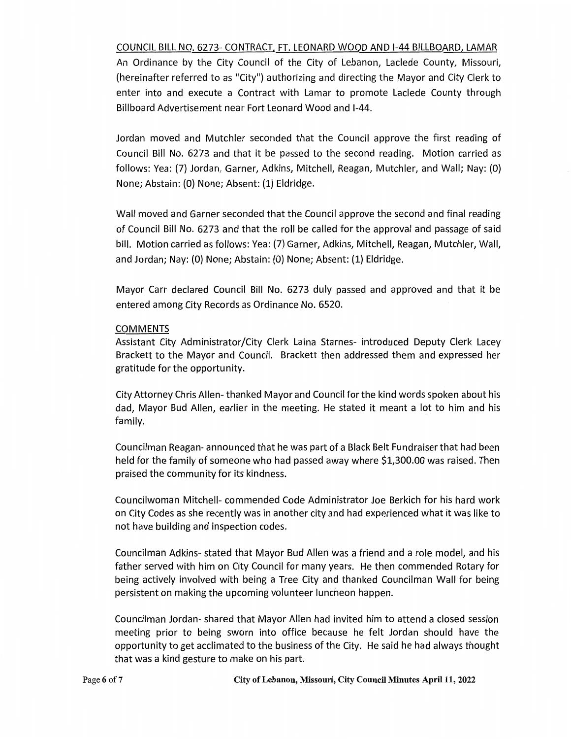# COUNCIL BILL NO. 6273- CONTRACT, FT. LEONARD WOOD AND 1-44 BILLBOARD, LAMAR

An Ordinance by the City Council of the City of Lebanon, Laclede County, Missouri, {hereinafter referred to as "City"} authorizing and directing the Mayor and City Clerk to enter into and execute a Contract with Lamar to promote Laclede County through Billboard Advertisement near Fort Leonard Wood and 1-44.

Jordan moved and Mutchler seconded that the Council approve the first reading of Council Bill No. 6273 and that it be passed to the second reading. Motion carried as follows: Yea: {7} Jordan, Garner, Adkins, Mitchell, Reagan, Mutchler, and Wall; Nay: (O} None; Abstain: {O} None; Absent: {1} Eldridge.

Wall moved and Garner seconded that the Council approve the second and final reading of Council Bill No. 6273 and that the roll be called for the approval and passage of said bill. Motion carried as follows: Yea: {7} Garner, Adkins, Mitchell, Reagan, Mutchler, Wall, and Jordan; Nay: {O} None; Abstain: {O} None; Absent: (1} Eldridge.

Mayor Carr declared Council Bill No. 6273 duly passed and approved and that it be entered among City Records as Ordinance No. 6520.

# COMMENTS

Assistant City Administrator/City Clerk Laina Starnes- introduced Deputy Clerk Lacey Brackett to the Mayor and Council. Brackett then addressed them and expressed her gratitude for the opportunity.

City Attorney Chris Allen- thanked Mayor and Council for the kind words spoken about his dad, Mayor Bud Allen, earlier in the meeting. He stated it meant a lot to him and his family.

Councilman Reagan- announced that he was part of a Black Belt Fundraiser that had been held for the family of someone who had passed away where \$1,300.00 was raised. Then praised the community for its kindness.

Councilwoman Mitchell- commended Code Administrator Joe Berkich for his hard work on City Codes as she recently was in another city and had experienced what it was like to not have building and inspection codes.

Councilman Adkins- stated that Mayor Bud Allen was a friend and a role model, and his father served with him on City Council for many years. He then commended Rotary for being actively involved with being a Tree City and thanked Councilman Wall for being persistent on making the upcoming volunteer luncheon happen.

Councilman Jordan- shared that Mayor Allen had invited him to attend a closed session meeting prior to being sworn into office because he felt Jordan should have the opportunity to get acclimated to the business of the City. He said he had always thought that was a kind gesture to make on his part.